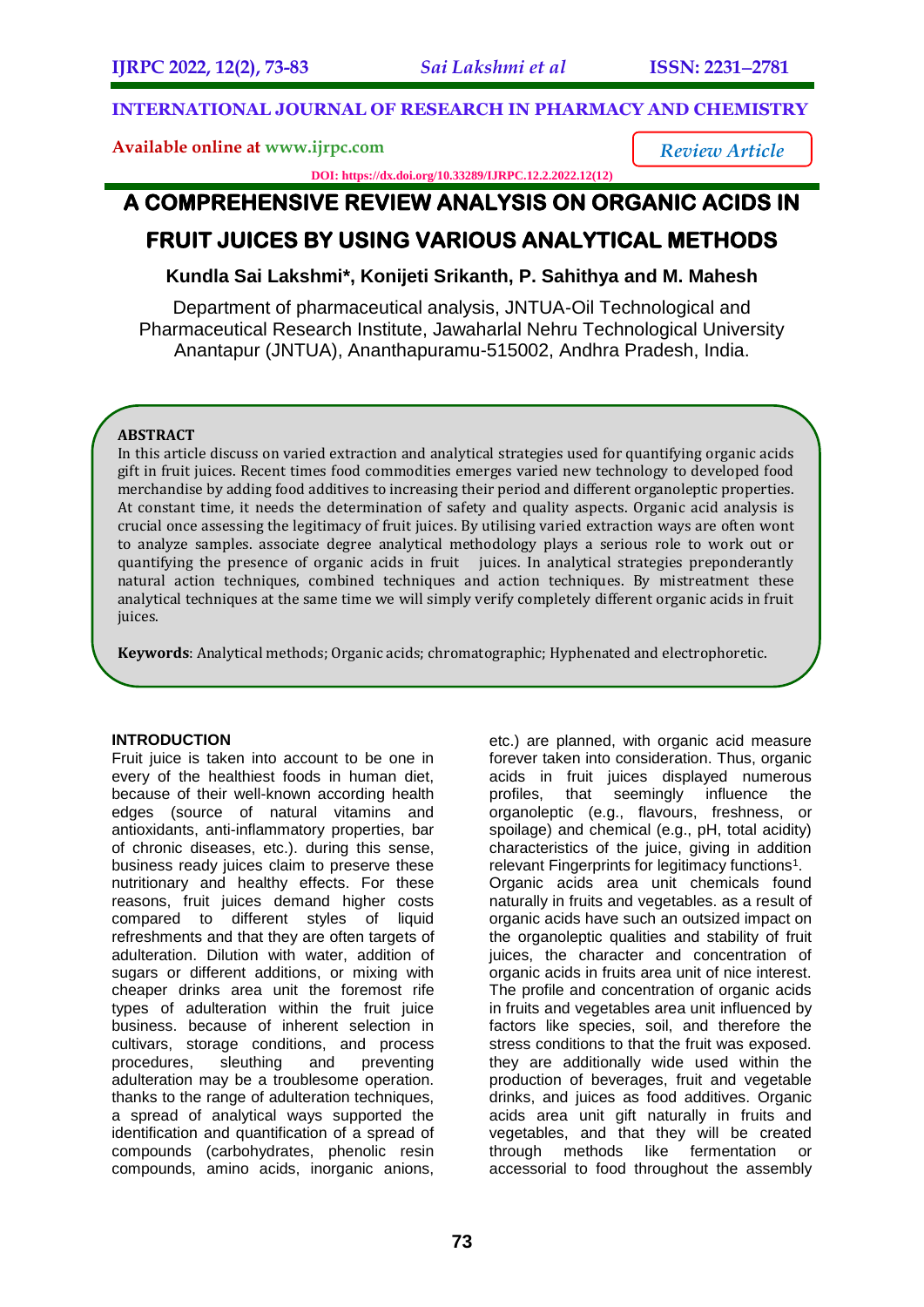*Review Article*

## **INTERNATIONAL JOURNAL OF RESEARCH IN PHARMACY AND CHEMISTRY**

**Available online at [www.ijrpc.com](http://www.ijrpc.com/)**

**DOI: https://dx.doi.org/10.33289/IJRPC.12.2.2022.12(12)** 

## **A COMPREHENSIVE REVIEW ANALYSIS ON ORGANIC ACIDS IN FRUIT JUICES BY USING VARIOUS ANALYTICAL METHODS**

# **Kundla Sai Lakshmi\*, Konijeti Srikanth, P. Sahithya and M. Mahesh**

Department of pharmaceutical analysis, JNTUA-Oil Technological and Pharmaceutical Research Institute, Jawaharlal Nehru Technological University Anantapur (JNTUA), Ananthapuramu-515002, Andhra Pradesh, India.

## **ABSTRACT**

In this article discuss on varied extraction and analytical strategies used for quantifying organic acids gift in fruit juices. Recent times food commodities emerges varied new technology to developed food merchandise by adding food additives to increasing their period and different organoleptic properties. At constant time, it needs the determination of safety and quality aspects. Organic acid analysis is crucial once assessing the legitimacy of fruit juices. By utilising varied extraction ways are often wont to analyze samples. associate degree analytical methodology plays a serious role to work out or quantifying the presence of organic acids in fruit juices. In analytical strategies preponderantly natural action techniques, combined techniques and action techniques. By mistreatment these analytical techniques at the same time we will simply verify completely different organic acids in fruit juices.

**Keywords**: Analytical methods; Organic acids; chromatographic; Hyphenated and electrophoretic.

### **INTRODUCTION**

Fruit juice is taken into account to be one in every of the healthiest foods in human diet, because of their well-known according health edges (source of natural vitamins and antioxidants, anti-inflammatory properties, bar of chronic diseases, etc.). during this sense, business ready juices claim to preserve these nutritionary and healthy effects. For these reasons, fruit juices demand higher costs compared to different styles of liquid refreshments and that they are often targets of adulteration. Dilution with water, addition of sugars or different additions, or mixing with cheaper drinks area unit the foremost rife types of adulteration within the fruit juice business. because of inherent selection in cultivars, storage conditions, and process<br>procedures, sleuthing and preventing procedures, sleuthing and preventing adulteration may be a troublesome operation. thanks to the range of adulteration techniques, a spread of analytical ways supported the identification and quantification of a spread of compounds (carbohydrates, phenolic resin compounds, amino acids, inorganic anions,

etc.) are planned, with organic acid measure forever taken into consideration. Thus, organic acids in fruit juices displayed numerous profiles, that seemingly influence the organoleptic (e.g., flavours, freshness, or spoilage) and chemical (e.g., pH, total acidity) characteristics of the juice, giving in addition relevant Fingerprints for legitimacy functions<sup>1</sup>. Organic acids area unit chemicals found naturally in fruits and vegetables. as a result of organic acids have such an outsized impact on the organoleptic qualities and stability of fruit juices, the character and concentration of organic acids in fruits area unit of nice interest. The profile and concentration of organic acids in fruits and vegetables area unit influenced by factors like species, soil, and therefore the stress conditions to that the fruit was exposed. they are additionally wide used within the production of beverages, fruit and vegetable drinks, and juices as food additives. Organic acids area unit gift naturally in fruits and vegetables, and that they will be created through methods like fermentation or accessorial to food throughout the assembly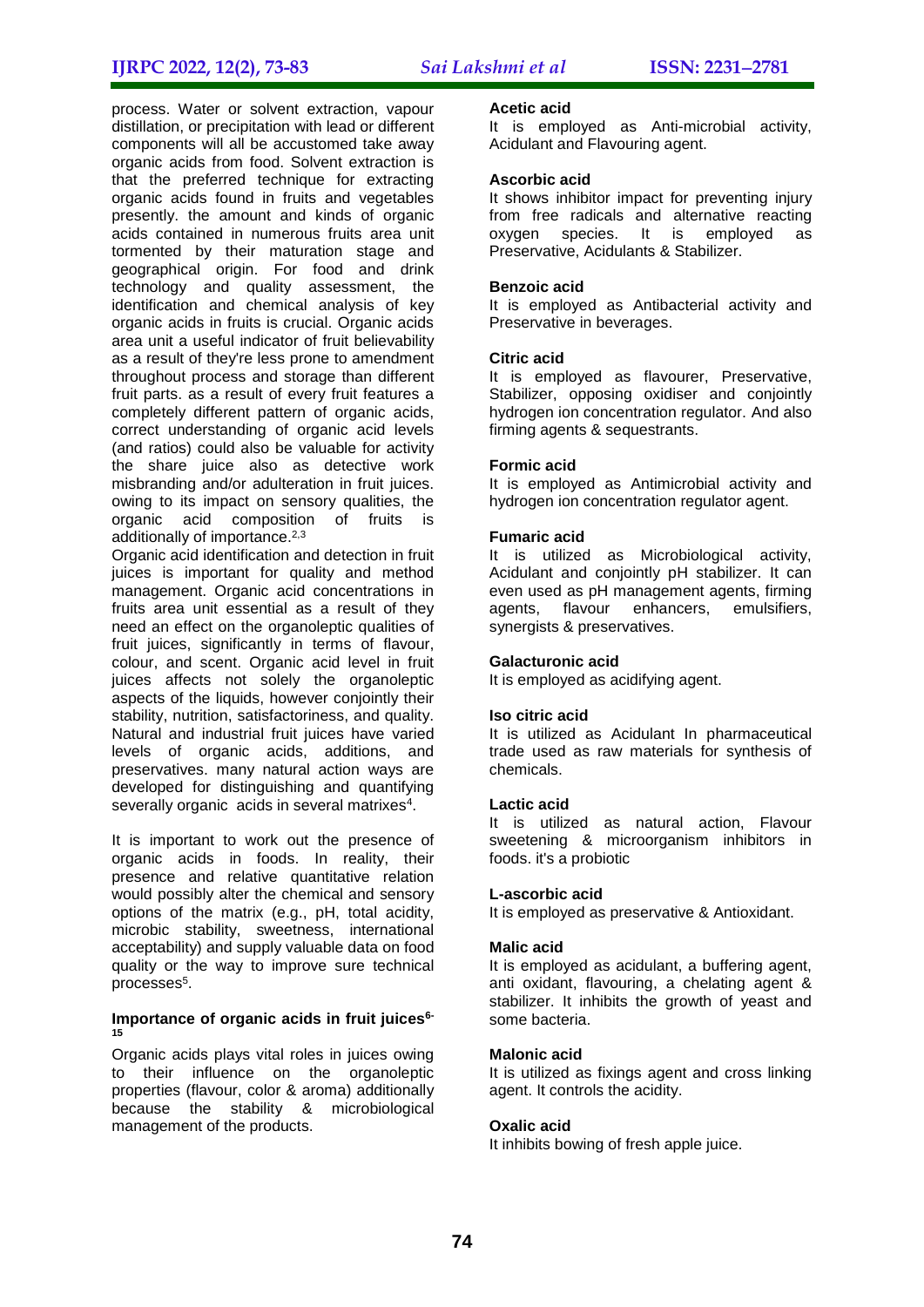process. Water or solvent extraction, vapour distillation, or precipitation with lead or different components will all be accustomed take away organic acids from food. Solvent extraction is that the preferred technique for extracting organic acids found in fruits and vegetables presently. the amount and kinds of organic acids contained in numerous fruits area unit tormented by their maturation stage and geographical origin. For food and drink technology and quality assessment, the identification and chemical analysis of key organic acids in fruits is crucial. Organic acids area unit a useful indicator of fruit believability as a result of they're less prone to amendment throughout process and storage than different fruit parts. as a result of every fruit features a completely different pattern of organic acids, correct understanding of organic acid levels (and ratios) could also be valuable for activity the share juice also as detective work misbranding and/or adulteration in fruit juices. owing to its impact on sensory qualities, the organic acid composition of fruits is additionally of importance.<sup>2,3</sup>

Organic acid identification and detection in fruit juices is important for quality and method management. Organic acid concentrations in fruits area unit essential as a result of they need an effect on the organoleptic qualities of fruit juices, significantly in terms of flavour, colour, and scent. Organic acid level in fruit juices affects not solely the organoleptic aspects of the liquids, however conjointly their stability, nutrition, satisfactoriness, and quality. Natural and industrial fruit juices have varied levels of organic acids, additions, and preservatives. many natural action ways are developed for distinguishing and quantifying severally organic acids in several matrixes<sup>4</sup>.

It is important to work out the presence of organic acids in foods. In reality, their presence and relative quantitative relation would possibly alter the chemical and sensory options of the matrix (e.g., pH, total acidity, microbic stability, sweetness, international acceptability) and supply valuable data on food quality or the way to improve sure technical processes<sup>5</sup>.

#### **Importance of organic acids in fruit juices6- 15**

Organic acids plays vital roles in juices owing to their influence on the organoleptic properties (flavour, color & aroma) additionally because the stability & microbiological management of the products.

#### **Acetic acid**

It is employed as Anti-microbial activity, Acidulant and Flavouring agent.

#### **Ascorbic acid**

It shows inhibitor impact for preventing injury from free radicals and alternative reacting oxygen species. It is employed as Preservative, Acidulants & Stabilizer.

#### **Benzoic acid**

It is employed as Antibacterial activity and Preservative in beverages.

#### **Citric acid**

It is employed as flavourer, Preservative, Stabilizer, opposing oxidiser and conjointly hydrogen ion concentration regulator. And also firming agents & sequestrants.

#### **Formic acid**

It is employed as Antimicrobial activity and hydrogen ion concentration regulator agent.

#### **Fumaric acid**

It is utilized as Microbiological activity, Acidulant and conjointly pH stabilizer. It can even used as pH management agents, firming agents, flavour enhancers, emulsifiers, synergists & preservatives.

#### **Galacturonic acid**

It is employed as acidifying agent.

#### **Iso citric acid**

It is utilized as Acidulant In pharmaceutical trade used as raw materials for synthesis of chemicals.

#### **Lactic acid**

It is utilized as natural action, Flavour sweetening & microorganism inhibitors in foods. it's a probiotic

#### **L-ascorbic acid**

It is employed as preservative & Antioxidant.

#### **Malic acid**

It is employed as acidulant, a buffering agent, anti oxidant, flavouring, a chelating agent & stabilizer. It inhibits the growth of yeast and some bacteria.

#### **Malonic acid**

It is utilized as fixings agent and cross linking agent. It controls the acidity.

#### **Oxalic acid**

It inhibits bowing of fresh apple juice.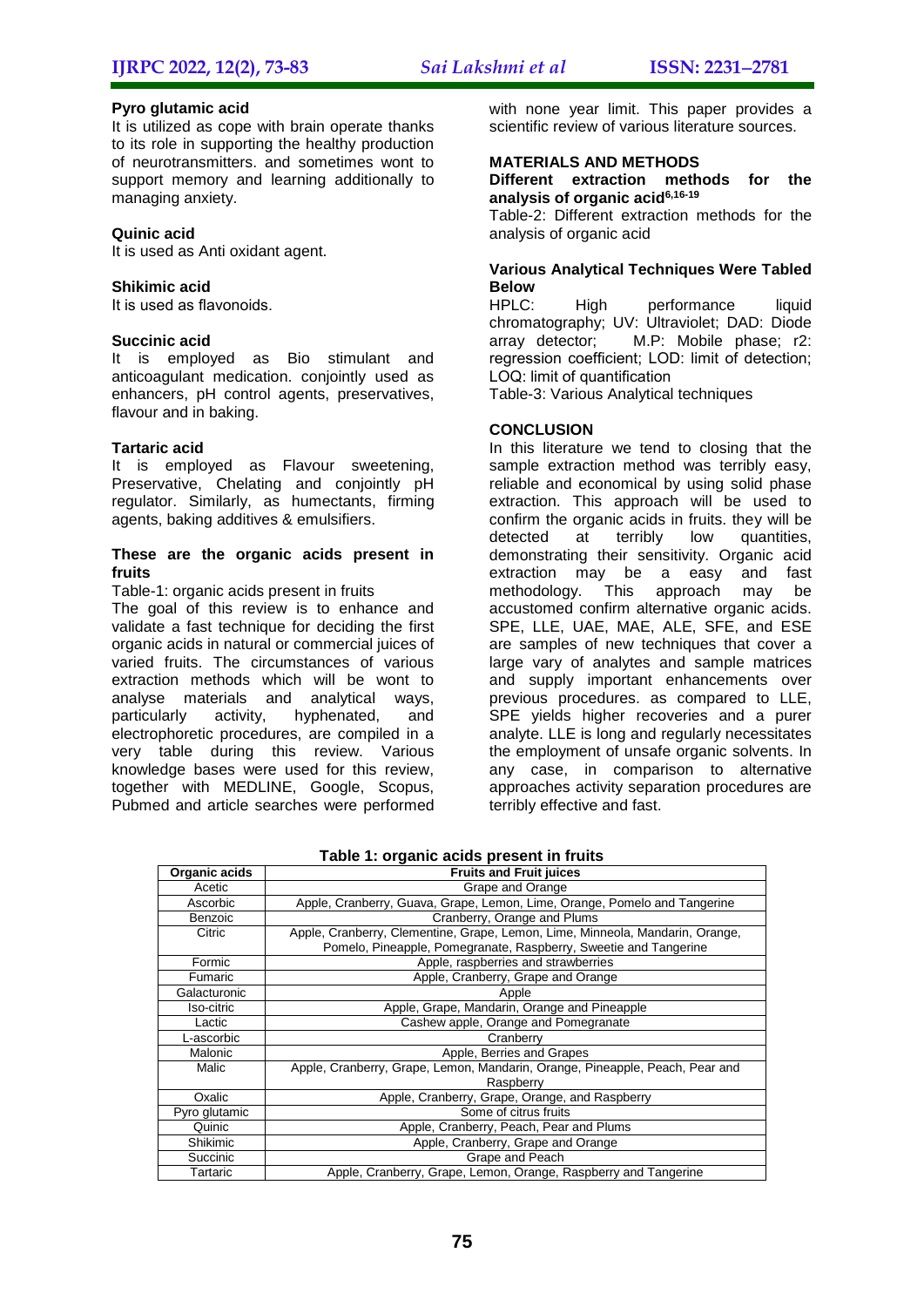#### **Pyro glutamic acid**

It is utilized as cope with brain operate thanks to its role in supporting the healthy production of neurotransmitters. and sometimes wont to support memory and learning additionally to managing anxiety.

#### **Quinic acid**

It is used as Anti oxidant agent.

#### **Shikimic acid**

It is used as flavonoids.

#### **Succinic acid**

It is employed as Bio stimulant and anticoagulant medication. conjointly used as enhancers, pH control agents, preservatives, flavour and in baking.

#### **Tartaric acid**

It is employed as Flavour sweetening, Preservative, Chelating and conjointly pH regulator. Similarly, as humectants, firming agents, baking additives & emulsifiers.

#### **These are the organic acids present in fruits**

Table-1: organic acids present in fruits

The goal of this review is to enhance and validate a fast technique for deciding the first organic acids in natural or commercial juices of varied fruits. The circumstances of various extraction methods which will be wont to analyse materials and analytical ways,<br>particularly activity, hyphenated, and particularly activity, hyphenated, and electrophoretic procedures, are compiled in a very table during this review. Various knowledge bases were used for this review, together with MEDLINE, Google, Scopus, Pubmed and article searches were performed with none year limit. This paper provides a scientific review of various literature sources.

## **MATERIALS AND METHODS**

**Different extraction methods for the analysis of organic acid6,16-19**

Table-2: Different extraction methods for the analysis of organic acid

#### **Various Analytical Techniques Were Tabled Below**

HPLC: High performance liquid chromatography; UV: Ultraviolet; DAD: Diode array detector; M.P: Mobile phase; r2: regression coefficient; LOD: limit of detection; LOQ: limit of quantification

Table-3: Various Analytical techniques

#### **CONCLUSION**

In this literature we tend to closing that the sample extraction method was terribly easy, reliable and economical by using solid phase extraction. This approach will be used to confirm the organic acids in fruits. they will be detected at terribly low quantities. demonstrating their sensitivity. Organic acid extraction may be a easy and fast methodology. This approach may be accustomed confirm alternative organic acids. SPE, LLE, UAE, MAE, ALE, SFE, and ESE are samples of new techniques that cover a large vary of analytes and sample matrices and supply important enhancements over previous procedures. as compared to LLE, SPE yields higher recoveries and a purer analyte. LLE is long and regularly necessitates the employment of unsafe organic solvents. In any case, in comparison to alternative approaches activity separation procedures are terribly effective and fast.

| Organic acids | <b>Fruits and Fruit juices</b>                                                                                                                    |
|---------------|---------------------------------------------------------------------------------------------------------------------------------------------------|
| Acetic        | Grape and Orange                                                                                                                                  |
| Ascorbic      | Apple, Cranberry, Guava, Grape, Lemon, Lime, Orange, Pomelo and Tangerine                                                                         |
| Benzoic       | Cranberry, Orange and Plums                                                                                                                       |
| Citric        | Apple, Cranberry, Clementine, Grape, Lemon, Lime, Minneola, Mandarin, Orange,<br>Pomelo, Pineapple, Pomegranate, Raspberry, Sweetie and Tangerine |
| Formic        | Apple, raspberries and strawberries                                                                                                               |
| Fumaric       | Apple, Cranberry, Grape and Orange                                                                                                                |
| Galacturonic  | Apple                                                                                                                                             |
| Iso-citric    | Apple, Grape, Mandarin, Orange and Pineapple                                                                                                      |
| Lactic        | Cashew apple, Orange and Pomegranate                                                                                                              |
| L-ascorbic    | Cranberry                                                                                                                                         |
| Malonic       | Apple, Berries and Grapes                                                                                                                         |
| Malic         | Apple, Cranberry, Grape, Lemon, Mandarin, Orange, Pineapple, Peach, Pear and                                                                      |
|               | Raspberry                                                                                                                                         |
| Oxalic        | Apple, Cranberry, Grape, Orange, and Raspberry                                                                                                    |
| Pyro glutamic | Some of citrus fruits                                                                                                                             |
| Quinic        | Apple, Cranberry, Peach, Pear and Plums                                                                                                           |
| Shikimic      | Apple, Cranberry, Grape and Orange                                                                                                                |
| Succinic      | Grape and Peach                                                                                                                                   |
| Tartaric      | Apple, Cranberry, Grape, Lemon, Orange, Raspberry and Tangerine                                                                                   |

**Table 1: organic acids present in fruits**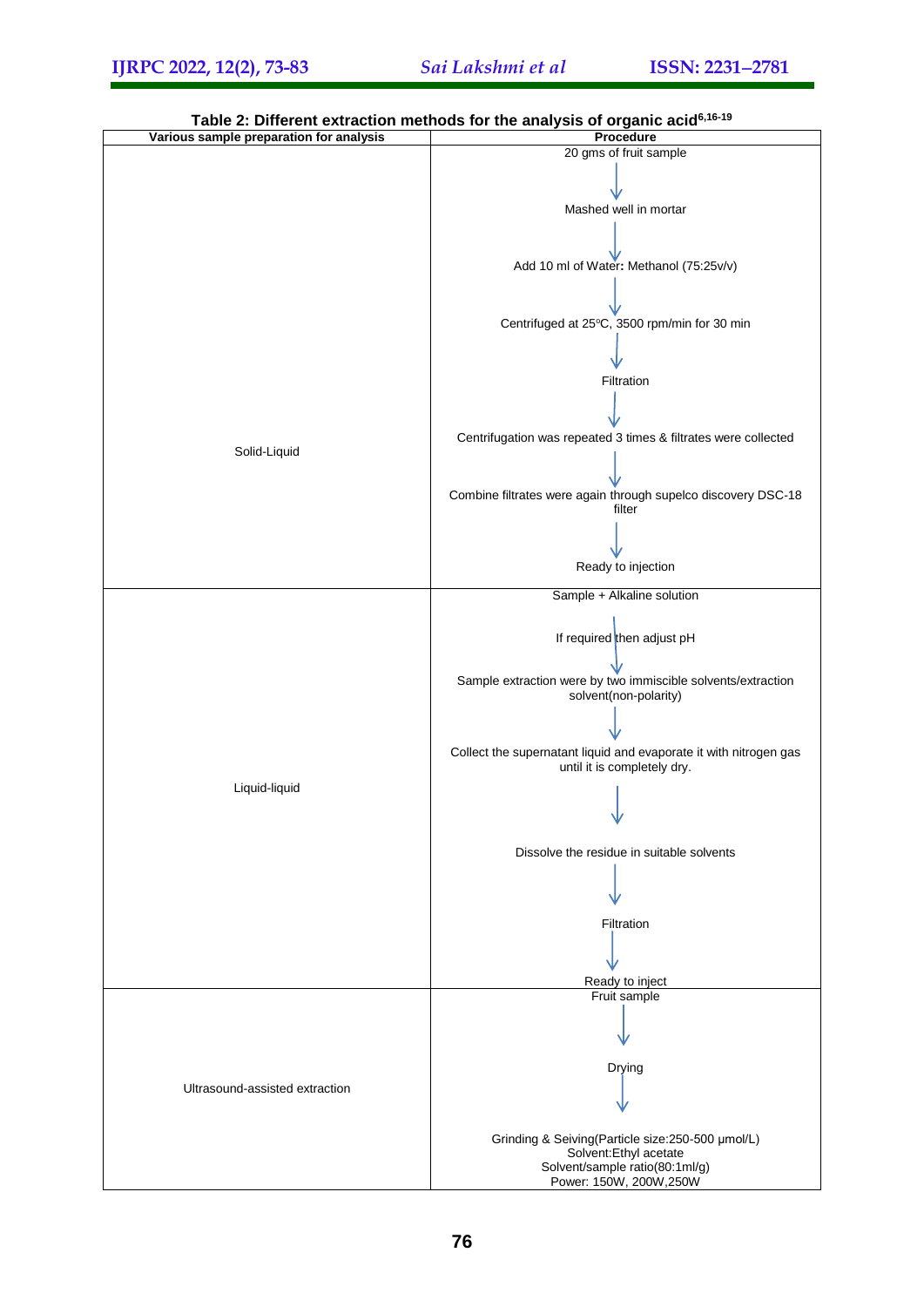

**Table 2: Different extraction methods for the analysis of organic acid6,16-19**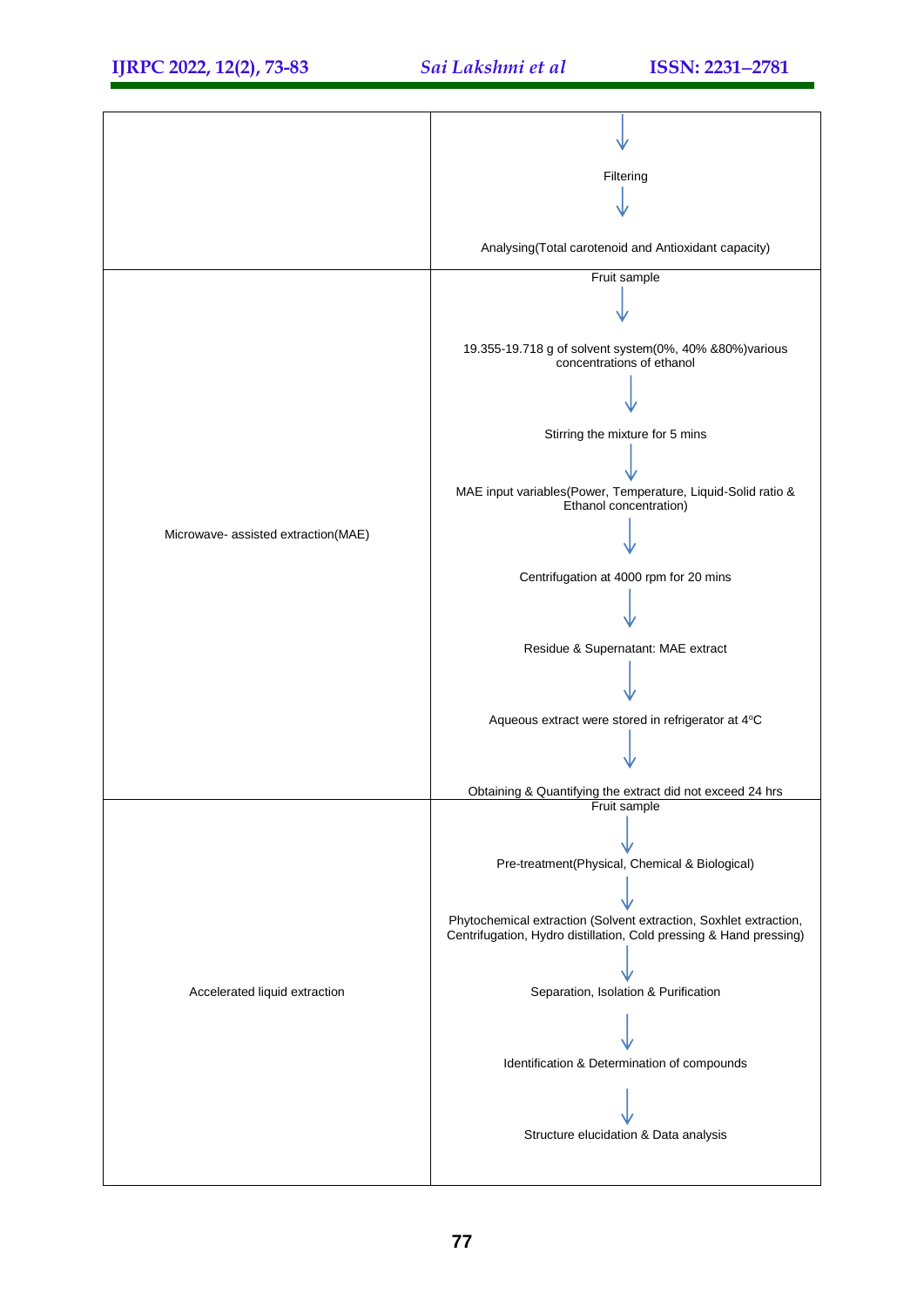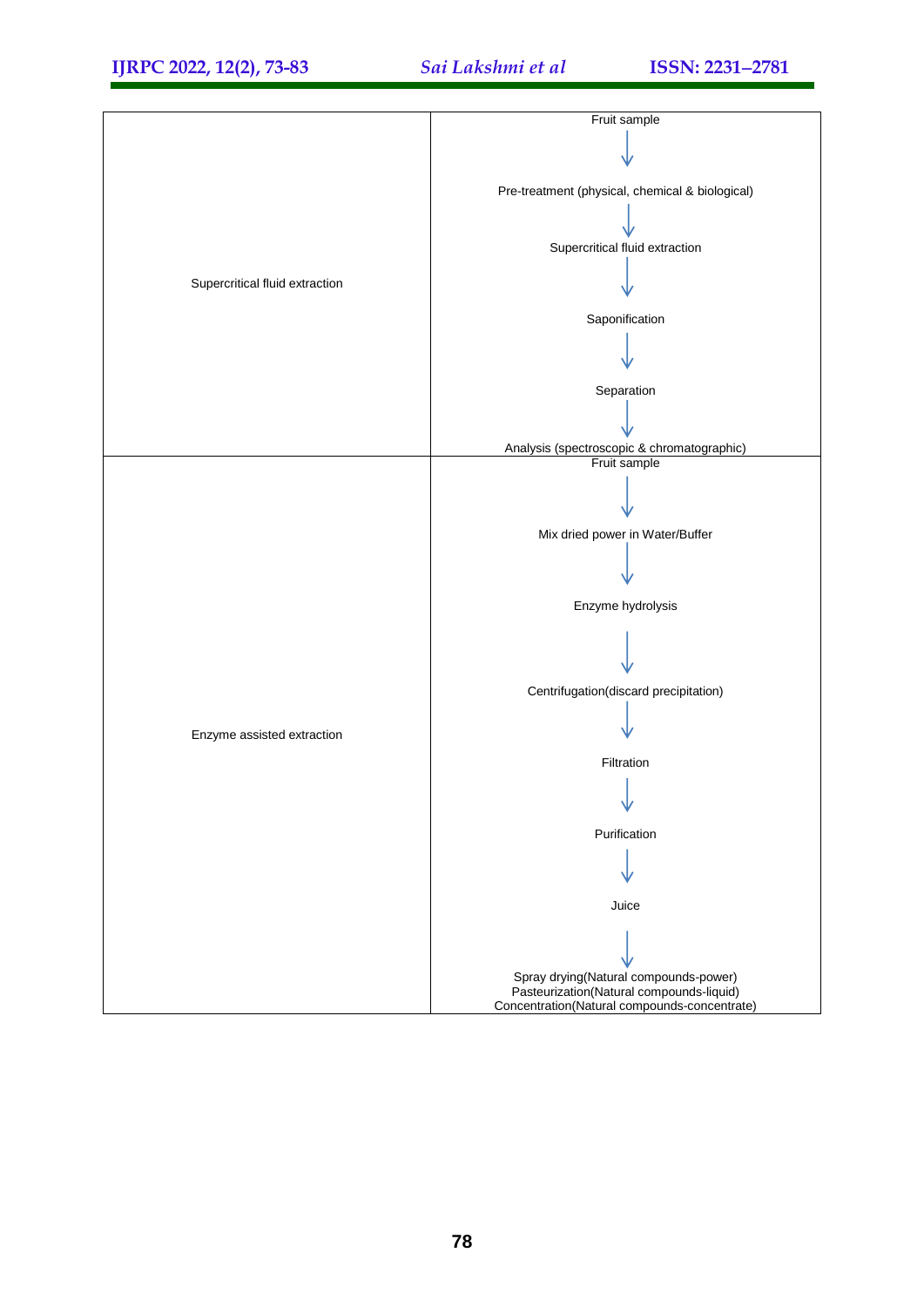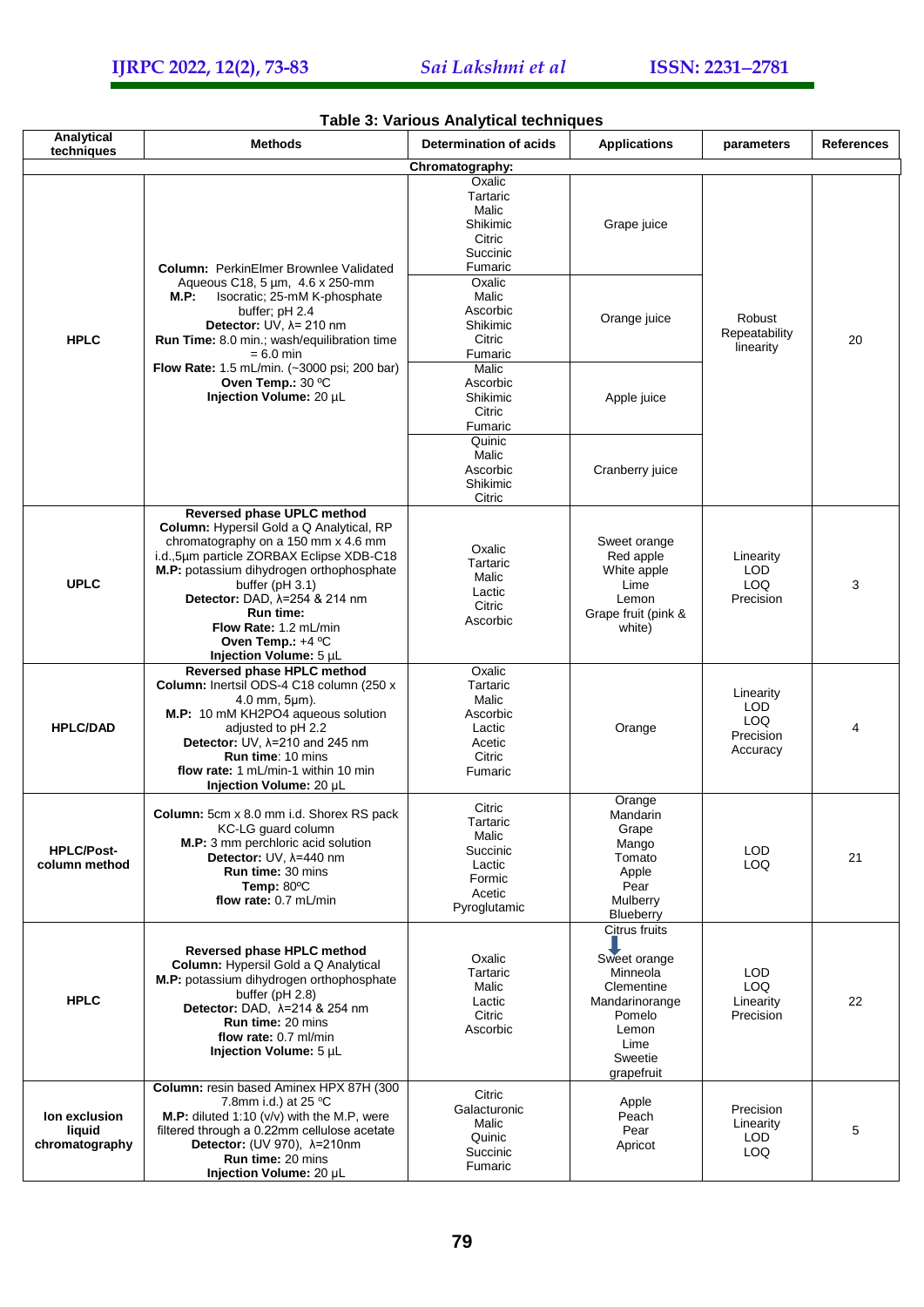| Analytical                                | <b>Methods</b>                                                                                                                                                                                                                                                                                                                                                       | rable 5. various Anarytical techniques<br><b>Determination of acids</b>               | <b>Applications</b>                                                                                                           | parameters                                         | <b>References</b> |
|-------------------------------------------|----------------------------------------------------------------------------------------------------------------------------------------------------------------------------------------------------------------------------------------------------------------------------------------------------------------------------------------------------------------------|---------------------------------------------------------------------------------------|-------------------------------------------------------------------------------------------------------------------------------|----------------------------------------------------|-------------------|
| techniques                                |                                                                                                                                                                                                                                                                                                                                                                      | Chromatography:                                                                       |                                                                                                                               |                                                    |                   |
| <b>HPLC</b>                               | <b>Column: PerkinElmer Brownlee Validated</b><br>Aqueous C18, 5 um, 4.6 x 250-mm<br><b>M.P:</b><br>Isocratic; 25-mM K-phosphate<br>buffer; pH 2.4<br>Detector: UV, $\lambda$ = 210 nm<br>Run Time: 8.0 min.; wash/equilibration time<br>= 6.0 min<br><b>Flow Rate:</b> 1.5 mL/min. (~3000 psi; 200 bar)<br>Oven Temp.: 30 °C<br>Injection Volume: 20 µL              | Oxalic<br>Tartaric<br>Malic<br>Shikimic<br>Citric<br>Succinic<br>Fumaric              | Grape juice                                                                                                                   | Robust<br>Repeatability<br>linearity               | 20                |
|                                           |                                                                                                                                                                                                                                                                                                                                                                      | Oxalic<br>Malic<br>Ascorbic<br>Shikimic<br>Citric<br>Fumaric                          | Orange juice                                                                                                                  |                                                    |                   |
|                                           |                                                                                                                                                                                                                                                                                                                                                                      | Malic<br>Ascorbic<br>Shikimic<br>Citric<br>Fumaric                                    | Apple juice                                                                                                                   |                                                    |                   |
|                                           |                                                                                                                                                                                                                                                                                                                                                                      | Quinic<br>Malic<br>Ascorbic<br>Shikimic<br>Citric                                     | Cranberry juice                                                                                                               |                                                    |                   |
| <b>UPLC</b>                               | Reversed phase UPLC method<br><b>Column:</b> Hypersil Gold a Q Analytical, RP<br>chromatography on a 150 mm x 4.6 mm<br>i.d., 5um particle ZORBAX Eclipse XDB-C18<br>M.P: potassium dihydrogen orthophosphate<br>buffer ( $pH$ 3.1)<br>Detector: DAD, $\lambda$ =254 & 214 nm<br>Run time:<br>Flow Rate: 1.2 mL/min<br>Oven Temp.: $+4$ °C<br>Injection Volume: 5 µL | Oxalic<br>Tartaric<br>Malic<br>Lactic<br>Citric<br>Ascorbic                           | Sweet orange<br>Red apple<br>White apple<br>Lime<br>Lemon<br>Grape fruit (pink &<br>white)                                    | Linearity<br><b>LOD</b><br><b>LOQ</b><br>Precision | 3                 |
| <b>HPLC/DAD</b>                           | Reversed phase HPLC method<br>Column: Inertsil ODS-4 C18 column (250 x<br>$4.0$ mm, $5 \mu m$ ).<br>M.P: 10 mM KH2PO4 aqueous solution<br>adjusted to pH 2.2<br>Detector: UV, $\lambda$ =210 and 245 nm<br><b>Run time: 10 mins</b><br>flow rate: 1 mL/min-1 within 10 min<br>Injection Volume: 20 µL                                                                | Oxalic<br>Tartaric<br>Malic<br>Ascorbic<br>Lactic<br>Acetic<br>Citric<br>Fumaric      | Orange                                                                                                                        | Linearity<br>LOD<br>LOQ.<br>Precision<br>Accuracy  | 4                 |
| <b>HPLC/Post-</b><br>column method        | Column: 5cm x 8.0 mm i.d. Shorex RS pack<br>KC-LG guard column<br>M.P: 3 mm perchloric acid solution<br>Detector: UV, $\lambda$ =440 nm<br><b>Run time: 30 mins</b><br>Temp: 80°C<br>flow rate: 0.7 mL/min                                                                                                                                                           | Citric<br>Tartaric<br>Malic<br>Succinic<br>Lactic<br>Formic<br>Acetic<br>Pyroglutamic | Orange<br>Mandarin<br>Grape<br>Mango<br>Tomato<br>Apple<br>Pear<br>Mulberry<br>Blueberry                                      | LOD<br>LOQ                                         | 21                |
| <b>HPLC</b>                               | Reversed phase HPLC method<br>Column: Hypersil Gold a Q Analytical<br>M.P: potassium dihydrogen orthophosphate<br>buffer (pH 2.8)<br>Detector: DAD, λ=214 & 254 nm<br><b>Run time: 20 mins</b><br>flow rate: 0.7 ml/min<br>Injection Volume: 5 µL                                                                                                                    | Oxalic<br>Tartaric<br>Malic<br>Lactic<br>Citric<br>Ascorbic                           | Citrus fruits<br>Sweet orange<br>Minneola<br>Clementine<br>Mandarinorange<br>Pomelo<br>Lemon<br>Lime<br>Sweetie<br>grapefruit | LOD<br>LOQ<br>Linearity<br>Precision               | 22                |
| lon exclusion<br>liquid<br>chromatography | Column: resin based Aminex HPX 87H (300<br>7.8mm i.d.) at 25 °C<br><b>M.P:</b> diluted 1:10 ( $v/v$ ) with the M.P, were<br>filtered through a 0.22mm cellulose acetate<br>Detector: (UV 970), λ=210nm<br><b>Run time: 20 mins</b><br>Injection Volume: 20 µL                                                                                                        | Citric<br>Galacturonic<br>Malic<br>Quinic<br>Succinic<br>Fumaric                      | Apple<br>Peach<br>Pear<br>Apricot                                                                                             | Precision<br>Linearity<br>LOD<br>LOQ               | 5                 |

## **Table 3: Various Analytical techniques**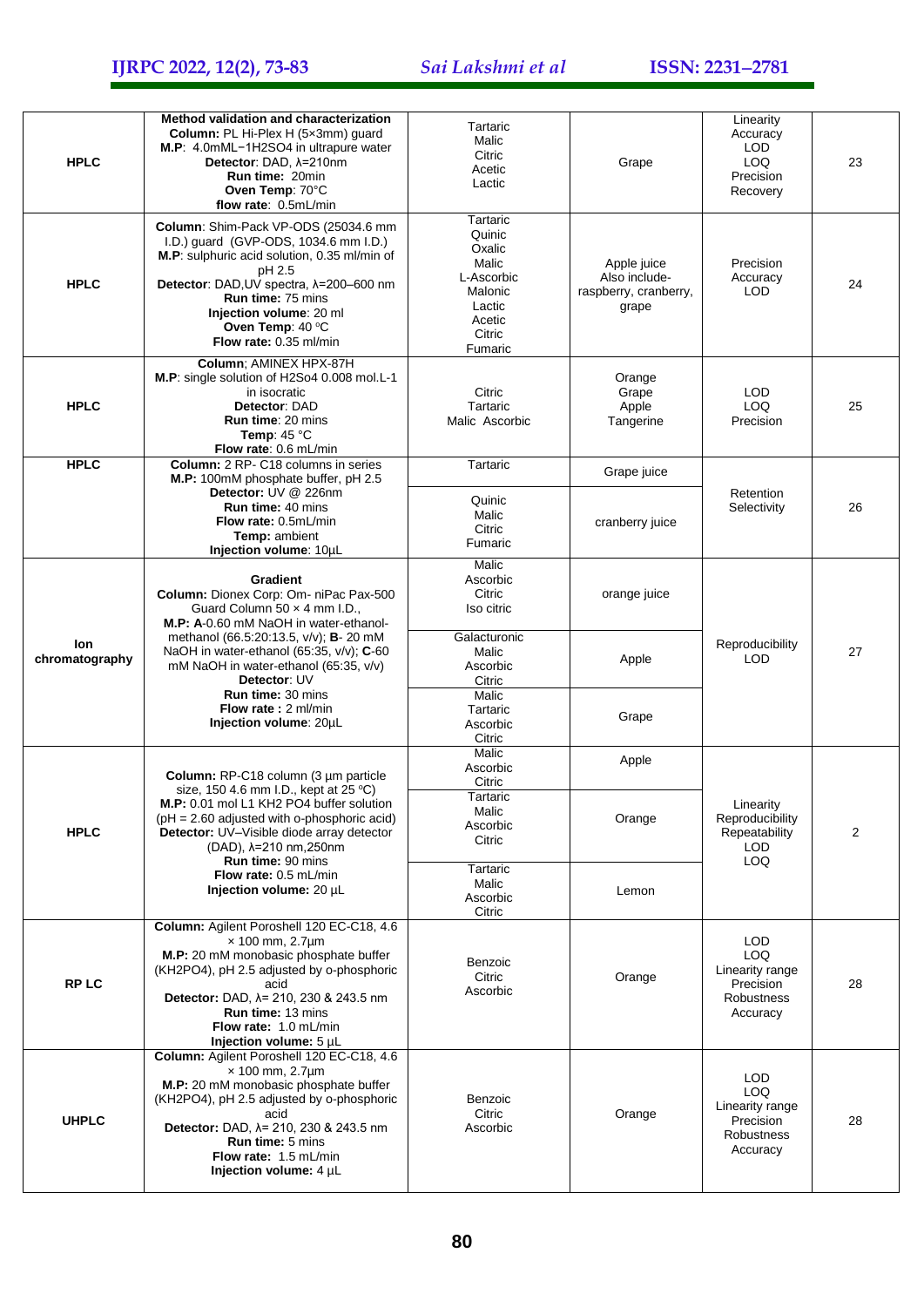| <b>HPLC</b>           | Method validation and characterization<br>Column: PL Hi-Plex H (5x3mm) quard<br>M.P: 4.0mML-1H2SO4 in ultrapure water<br>Detector: DAD, $\lambda = 210$ nm<br>Run time: 20min<br>Oven Temp: 70°C<br>flow rate: 0.5mL/min                                                                                                                                              | Tartaric<br>Malic<br>Citric<br>Acetic<br>Lactic                                                         | Grape                                                          | Linearity<br>Accuracy<br>LOD<br>LOQ<br>Precision<br>Recovery                 | 23             |
|-----------------------|-----------------------------------------------------------------------------------------------------------------------------------------------------------------------------------------------------------------------------------------------------------------------------------------------------------------------------------------------------------------------|---------------------------------------------------------------------------------------------------------|----------------------------------------------------------------|------------------------------------------------------------------------------|----------------|
| <b>HPLC</b>           | Column: Shim-Pack VP-ODS (25034.6 mm<br>I.D.) guard (GVP-ODS, 1034.6 mm I.D.)<br>M.P: sulphuric acid solution, 0.35 ml/min of<br>pH 2.5<br>Detector: DAD, UV spectra, $\lambda$ =200-600 nm<br>Run time: 75 mins<br>Injection volume: 20 ml<br>Oven Temp: 40 °C<br>Flow rate: 0.35 ml/min                                                                             | Tartaric<br>Quinic<br>Oxalic<br>Malic<br>L-Ascorbic<br>Malonic<br>Lactic<br>Acetic<br>Citric<br>Fumaric | Apple juice<br>Also include-<br>raspberry, cranberry,<br>grape | Precision<br>Accuracy<br>LOD                                                 | 24             |
| <b>HPLC</b>           | Column; AMINEX HPX-87H<br>M.P: single solution of H2So4 0.008 mol.L-1<br>in isocratic<br>Detector: DAD<br>Run time: 20 mins<br>Temp: $45^{\circ}$ C<br>Flow rate: 0.6 mL/min                                                                                                                                                                                          | Citric<br>Tartaric<br>Malic Ascorbic                                                                    | Orange<br>Grape<br>Apple<br>Tangerine                          | <b>LOD</b><br>LOQ<br>Precision                                               | 25             |
| <b>HPLC</b>           | <b>Column:</b> 2 RP- C18 columns in series                                                                                                                                                                                                                                                                                                                            | Tartaric                                                                                                | Grape juice                                                    |                                                                              |                |
|                       | M.P: 100mM phosphate buffer, pH 2.5<br>Detector: UV @ 226nm<br><b>Run time: 40 mins</b><br>Flow rate: 0.5mL/min<br>Temp: ambient<br>Injection volume: 10µL                                                                                                                                                                                                            | Quinic<br>Malic<br>Citric<br>Fumaric                                                                    | cranberry juice                                                | Retention<br>Selectivity                                                     | 26             |
| lon<br>chromatography | <b>Gradient</b><br>Column: Dionex Corp: Om- niPac Pax-500<br>Guard Column 50 x 4 mm I.D.,<br>M.P: A-0.60 mM NaOH in water-ethanol-<br>methanol (66.5:20:13.5, v/v); <b>B</b> -20 mM<br>NaOH in water-ethanol (65:35, v/v); C-60<br>mM NaOH in water-ethanol (65:35, v/v)<br>Detector: UV<br><b>Run time: 30 mins</b><br>Flow rate: 2 ml/min<br>Injection volume: 20µL | Malic<br>Ascorbic<br>Citric<br>Iso citric                                                               | orange juice                                                   | Reproducibility<br><b>LOD</b>                                                | 27             |
|                       |                                                                                                                                                                                                                                                                                                                                                                       | Galacturonic<br>Malic<br>Ascorbic<br>Citric                                                             | Apple                                                          |                                                                              |                |
|                       |                                                                                                                                                                                                                                                                                                                                                                       | Malic<br>Tartaric<br>Ascorbic<br>Citric                                                                 | Grape                                                          |                                                                              |                |
|                       | Column: RP-C18 column (3 µm particle<br>size, 150 4.6 mm I.D., kept at 25 °C)                                                                                                                                                                                                                                                                                         | Malic<br>Ascorbic<br>Citric                                                                             | Apple                                                          |                                                                              |                |
| <b>HPLC</b>           | M.P: 0.01 mol L1 KH2 PO4 buffer solution<br>$pH = 2.60$ adjusted with o-phosphoric acid)<br>Detector: UV-Visible diode array detector<br>(DAD), λ=210 nm, 250nm<br><b>Run time: 90 mins</b><br>Flow rate: 0.5 mL/min<br>Injection volume: 20 µL                                                                                                                       | Tartaric<br>Malic<br>Ascorbic<br>Citric                                                                 | Orange                                                         | Linearity<br>Reproducibility<br>Repeatability<br><b>LOD</b><br>LOQ           | $\overline{2}$ |
|                       |                                                                                                                                                                                                                                                                                                                                                                       | Tartaric<br>Malic<br>Ascorbic<br>Citric                                                                 | Lemon                                                          |                                                                              |                |
| <b>RPLC</b>           | Column: Agilent Poroshell 120 EC-C18, 4.6<br>$\times$ 100 mm, 2.7 $\mu$ m<br>M.P: 20 mM monobasic phosphate buffer<br>(KH2PO4), pH 2.5 adjusted by o-phosphoric<br>acid<br>Detector: DAD, λ= 210, 230 & 243.5 nm<br>Run time: 13 mins<br>Flow rate: 1.0 mL/min<br>Injection volume: 5 µL                                                                              | Benzoic<br>Citric<br>Ascorbic                                                                           | Orange                                                         | LOD<br>LOQ.<br>Linearity range<br>Precision<br><b>Robustness</b><br>Accuracy | 28             |
| <b>UHPLC</b>          | Column: Agilent Poroshell 120 EC-C18, 4.6<br>$\times$ 100 mm, 2.7 $\mu$ m<br>M.P: 20 mM monobasic phosphate buffer<br>(KH2PO4), pH 2.5 adjusted by o-phosphoric<br>acid<br><b>Detector:</b> DAD, $\lambda$ = 210, 230 & 243.5 nm<br><b>Run time: 5 mins</b><br><b>Flow rate: 1.5 mL/min</b><br>Injection volume: 4 µL                                                 | Benzoic<br>Citric<br>Ascorbic                                                                           | Orange                                                         | LOD<br>LOQ<br>Linearity range<br>Precision<br>Robustness<br>Accuracy         | 28             |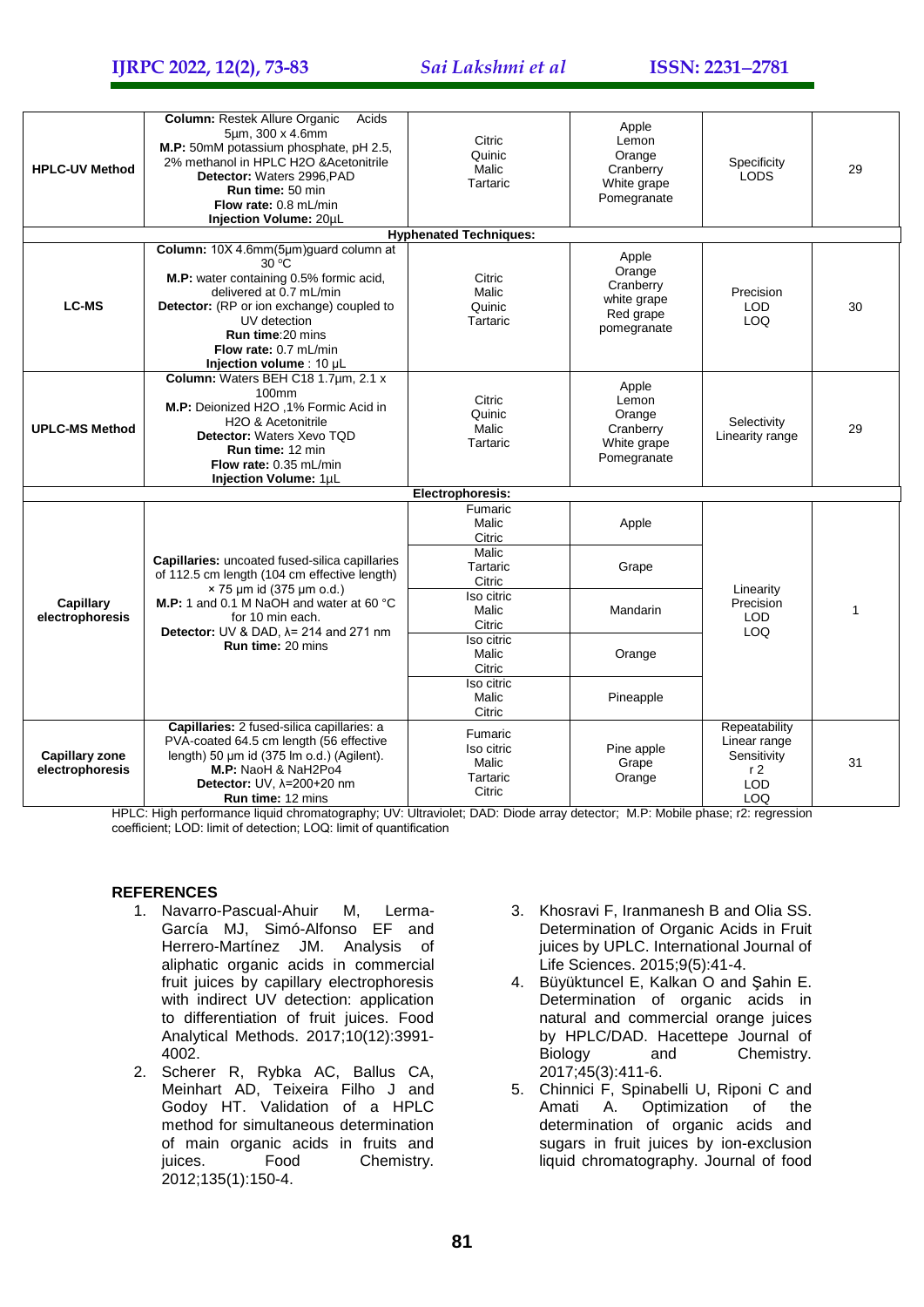**IJRPC 2022, 12(2), 73-83** *Sai Lakshmi et al* **ISSN: 22312781**

| <b>HPLC-UV Method</b>                    | Column: Restek Allure Organic<br>Acids<br>5um, 300 x 4.6mm<br>M.P: 50mM potassium phosphate, pH 2.5,<br>2% methanol in HPLC H2O & Acetonitrile<br>Detector: Waters 2996, PAD<br><b>Run time: 50 min</b><br>Flow rate: 0.8 mL/min<br>Injection Volume: 20µL                      | Citric<br>Quinic<br>Malic<br>Tartaric                | Apple<br>Lemon<br>Orange<br>Cranberry<br>White grape<br>Pomegranate     | Specificity<br><b>LODS</b>                                                          | 29 |
|------------------------------------------|---------------------------------------------------------------------------------------------------------------------------------------------------------------------------------------------------------------------------------------------------------------------------------|------------------------------------------------------|-------------------------------------------------------------------------|-------------------------------------------------------------------------------------|----|
|                                          |                                                                                                                                                                                                                                                                                 | <b>Hyphenated Techniques:</b>                        |                                                                         |                                                                                     |    |
| <b>LC-MS</b>                             | Column: 10X 4.6mm(5µm)guard column at<br>$30^{\circ}$ C<br>M.P: water containing 0.5% formic acid,<br>delivered at 0.7 mL/min<br>Detector: (RP or ion exchange) coupled to<br>UV detection<br>Run time: 20 mins<br><b>Flow rate: 0.7 mL/min</b><br>Injection volume : 10 µL     | Citric<br>Malic<br>Quinic<br>Tartaric                | Apple<br>Orange<br>Cranberry<br>white grape<br>Red grape<br>pomegranate | Precision<br><b>LOD</b><br>LOQ                                                      | 30 |
| <b>UPLC-MS Method</b>                    | Column: Waters BEH C18 1.7um, 2.1 x<br>100mm<br>M.P: Deionized H2O, 1% Formic Acid in<br>H <sub>2</sub> O & Acetonitrile<br>Detector: Waters Xevo TQD<br>Run time: 12 min<br>Flow rate: 0.35 mL/min<br>Injection Volume: 1µL                                                    | Citric<br>Quinic<br>Malic<br>Tartaric                | Apple<br>Lemon<br>Orange<br>Cranberry<br>White grape<br>Pomegranate     | Selectivity<br>Linearity range                                                      | 29 |
| Electrophoresis:                         |                                                                                                                                                                                                                                                                                 |                                                      |                                                                         |                                                                                     |    |
| <b>Capillary</b><br>electrophoresis      | Capillaries: uncoated fused-silica capillaries<br>of 112.5 cm length (104 cm effective length)<br>$\times$ 75 µm id (375 µm o.d.)<br>M.P: 1 and 0.1 M NaOH and water at 60 °C<br>for 10 min each.<br>Detector: UV & DAD, $\lambda$ = 214 and 271 nm<br><b>Run time: 20 mins</b> | Fumaric<br>Malic<br>Citric                           | Apple                                                                   | Linearity<br>Precision<br><b>LOD</b><br>LOQ                                         | 1  |
|                                          |                                                                                                                                                                                                                                                                                 | Malic<br>Tartaric<br>Citric                          | Grape                                                                   |                                                                                     |    |
|                                          |                                                                                                                                                                                                                                                                                 | Iso citric<br>Malic<br>Citric                        | Mandarin                                                                |                                                                                     |    |
|                                          |                                                                                                                                                                                                                                                                                 | Iso citric<br>Malic<br>Citric                        | Orange                                                                  |                                                                                     |    |
|                                          |                                                                                                                                                                                                                                                                                 | Iso citric<br>Malic<br>Citric                        | Pineapple                                                               |                                                                                     |    |
| <b>Capillary zone</b><br>electrophoresis | Capillaries: 2 fused-silica capillaries: a<br>PVA-coated 64.5 cm length (56 effective<br>length) 50 µm id (375 lm o.d.) (Agilent).<br>M.P: NaoH & NaH2Po4<br>Detector: UV, $\lambda$ =200+20 nm<br><b>Run time: 12 mins</b>                                                     | Fumaric<br>Iso citric<br>Malic<br>Tartaric<br>Citric | Pine apple<br>Grape<br>Orange                                           | Repeatability<br>Linear range<br>Sensitivity<br>r <sub>2</sub><br><b>LOD</b><br>LOQ | 31 |

HPLC: High performance liquid chromatography; UV: Ultraviolet; DAD: Diode array detector; M.P: Mobile phase; r2: regression coefficient; LOD: limit of detection; LOQ: limit of quantification

#### **REFERENCES**

- 1. Navarro-Pascual-Ahuir M, Lerma-García MJ, Simó-Alfonso EF and Herrero-Martínez JM. Analysis of aliphatic organic acids in commercial fruit juices by capillary electrophoresis with indirect UV detection: application to differentiation of fruit juices. Food Analytical Methods. 2017;10(12):3991- 4002.
- 2. Scherer R, Rybka AC, Ballus CA, Meinhart AD, Teixeira Filho J and Godoy HT. Validation of a HPLC method for simultaneous determination of main organic acids in fruits and juices. Food Chemistry. 2012;135(1):150-4.
- 3. Khosravi F, Iranmanesh B and Olia SS. Determination of Organic Acids in Fruit juices by UPLC. International Journal of Life Sciences. 2015;9(5):41-4.
- 4. Büyüktuncel E, Kalkan O and Şahin E. Determination of organic acids in natural and commercial orange juices by HPLC/DAD. Hacettepe Journal of Biology and Chemistry. 2017;45(3):411-6.
- 5. Chinnici F, Spinabelli U, Riponi C and Amati A. Optimization of the determination of organic acids and sugars in fruit juices by ion-exclusion liquid chromatography. Journal of food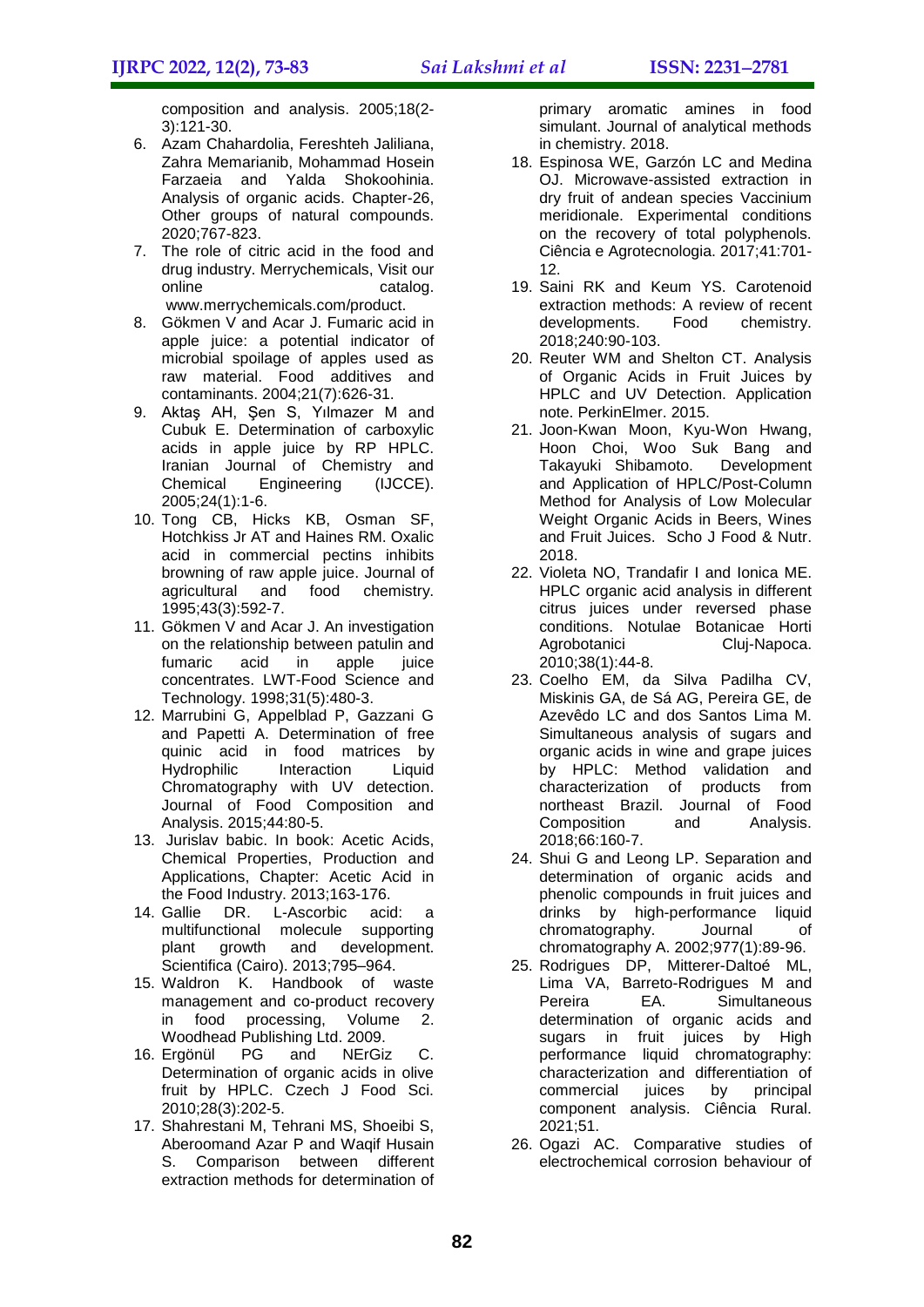composition and analysis. 2005;18(2- 3):121-30.

- 6. Azam Chahardolia, Fereshteh Jaliliana, Zahra Memarianib, Mohammad Hosein Farzaeia and Yalda Shokoohinia. Analysis of organic acids. Chapter-26, Other groups of natural compounds. 2020;767-823.
- 7. The role of citric acid in the food and drug industry. Merrychemicals, Visit our online catalog. [www.merrychemicals.com/product.](http://www.merrychemicals.com/product)
- 8. Gökmen V and Acar J. Fumaric acid in apple juice: a potential indicator of microbial spoilage of apples used as raw material. Food additives and contaminants. 2004;21(7):626-31.
- 9. Aktaş AH, Şen S, Yılmazer M and Cubuk E. Determination of carboxylic acids in apple juice by RP HPLC. Iranian Journal of Chemistry and Chemical Engineering (IJCCE). 2005;24(1):1-6.
- 10. Tong CB, Hicks KB, Osman SF, Hotchkiss Jr AT and Haines RM. Oxalic acid in commercial pectins inhibits browning of raw apple juice. Journal of agricultural and food chemistry. 1995;43(3):592-7.
- 11. Gökmen V and Acar J. An investigation on the relationship between patulin and fumaric acid in apple juice concentrates. LWT-Food Science and Technology. 1998;31(5):480-3.
- 12. Marrubini G, Appelblad P, Gazzani G and Papetti A. Determination of free quinic acid in food matrices by Hydrophilic Interaction Liquid Chromatography with UV detection. Journal of Food Composition and Analysis. 2015;44:80-5.
- 13. Jurislav babic. In book: Acetic Acids, Chemical Properties, Production and Applications, Chapter: Acetic Acid in the Food Industry. 2013;163-176.
- 14. Gallie DR. L-Ascorbic acid: a multifunctional molecule supporting plant growth and development. Scientifica (Cairo). 2013;795–964.
- 15. Waldron K. Handbook of waste management and co-product recovery in food processing, Volume 2. Woodhead Publishing Ltd. 2009.
- 16. Ergönül PG and NErGiz C. Determination of organic acids in olive fruit by HPLC. Czech J Food Sci. 2010;28(3):202-5.
- 17. Shahrestani M, Tehrani MS, Shoeibi S, Aberoomand Azar P and Waqif Husain S. Comparison between different extraction methods for determination of

primary aromatic amines in food simulant. Journal of analytical methods in chemistry. 2018.

- 18. Espinosa WE, Garzón LC and Medina OJ. Microwave-assisted extraction in dry fruit of andean species Vaccinium meridionale. Experimental conditions on the recovery of total polyphenols. Ciência e Agrotecnologia. 2017;41:701- 12.
- 19. Saini RK and Keum YS. Carotenoid extraction methods: A review of recent developments. Food chemistry. 2018;240:90-103.
- 20. Reuter WM and Shelton CT. Analysis of Organic Acids in Fruit Juices by HPLC and UV Detection. Application note. PerkinElmer. 2015.
- 21. Joon-Kwan Moon, Kyu-Won Hwang, Hoon Choi, Woo Suk Bang and Takayuki Shibamoto. Development and Application of HPLC/Post-Column Method for Analysis of Low Molecular Weight Organic Acids in Beers, Wines and Fruit Juices. Scho J Food & Nutr. 2018.
- 22. Violeta NO, Trandafir I and Ionica ME. HPLC organic acid analysis in different citrus juices under reversed phase conditions. Notulae Botanicae Horti Agrobotanici Cluj-Napoca. 2010;38(1):44-8.
- 23. Coelho EM, da Silva Padilha CV, Miskinis GA, de Sá AG, Pereira GE, de Azevêdo LC and dos Santos Lima M. Simultaneous analysis of sugars and organic acids in wine and grape juices by HPLC: Method validation and characterization of products from northeast Brazil. Journal of Food Composition and Analysis. 2018;66:160-7.
- 24. Shui G and Leong LP. Separation and determination of organic acids and phenolic compounds in fruit juices and drinks by high-performance liquid chromatography. Journal of chromatography A. 2002;977(1):89-96.
- 25. Rodrigues DP, Mitterer-Daltoé ML, Lima VA, Barreto-Rodrigues M and Pereira EA. Simultaneous determination of organic acids and sugars in fruit juices by High performance liquid chromatography: characterization and differentiation of commercial juices by principal component analysis. Ciência Rural. 2021;51.
- 26. Ogazi AC. Comparative studies of electrochemical corrosion behaviour of